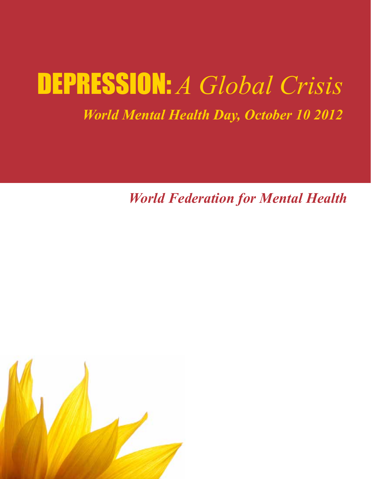## DEPRESSION: *A Global Crisis*

### *World Mental Health Day, October 10 2012*

*World Federation for Mental Health*

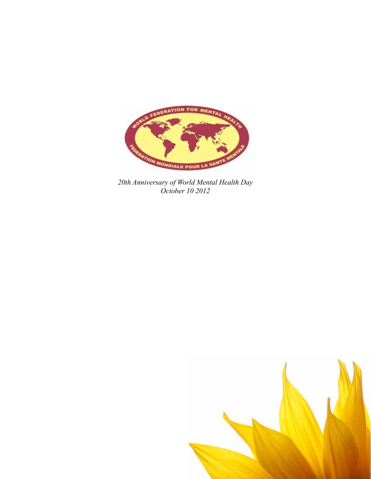

*20th Anniversary of World Mental Health Day October 10 2012*

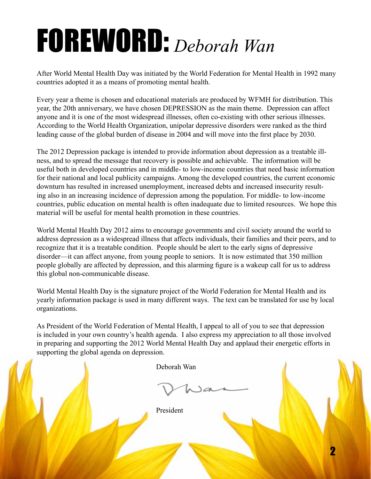# FOREWORD: *Deborah Wan*

After World Mental Health Day was initiated by the World Federation for Mental Health in 1992 many countries adopted it as a means of promoting mental health.

Every year a theme is chosen and educational materials are produced by WFMH for distribution. This year, the 20th anniversary, we have chosen DEPRESSION as the main theme. Depression can affect anyone and it is one of the most widespread illnesses, often co-existing with other serious illnesses. According to the World Health Organization, unipolar depressive disorders were ranked as the third leading cause of the global burden of disease in 2004 and will move into the first place by 2030.

The 2012 Depression package is intended to provide information about depression as a treatable illness, and to spread the message that recovery is possible and achievable. The information will be useful both in developed countries and in middle- to low-income countries that need basic information for their national and local publicity campaigns. Among the developed countries, the current economic downturn has resulted in increased unemployment, increased debts and increased insecurity resulting also in an increasing incidence of depression among the population. For middle- to low-income countries, public education on mental health is often inadequate due to limited resources. We hope this material will be useful for mental health promotion in these countries.

World Mental Health Day 2012 aims to encourage governments and civil society around the world to address depression as a widespread illness that affects individuals, their families and their peers, and to recognize that it is a treatable condition. People should be alert to the early signs of depressive disorder—it can affect anyone, from young people to seniors. It is now estimated that 350 million people globally are affected by depression, and this alarming figure is a wakeup call for us to address this global non-communicable disease.

World Mental Health Day is the signature project of the World Federation for Mental Health and its yearly information package is used in many different ways. The text can be translated for use by local organizations.

As President of the World Federation of Mental Health, I appeal to all of you to see that depression is included in your own country's health agenda. I also express my appreciation to all those involved in preparing and supporting the 2012 World Mental Health Day and applaud their energetic efforts in supporting the global agenda on depression.

Deborah Wan

President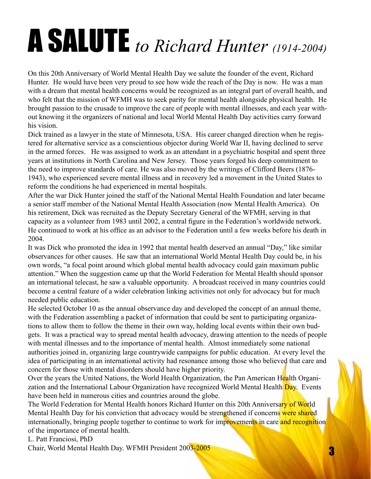# A SALUTE *to Richard Hunter (1914-2004)*

On this 20th Anniversary of World Mental Health Day we salute the founder of the event, Richard Hunter. He would have been very proud to see how wide the reach of the Day is now. He was a man with a dream that mental health concerns would be recognized as an integral part of overall health, and who felt that the mission of WFMH was to seek parity for mental health alongside physical health. He brought passion to the crusade to improve the care of people with mental illnesses, and each year without knowing it the organizers of national and local World Mental Health Day activities carry forward his vision.

Dick trained as a lawyer in the state of Minnesota, USA. His career changed direction when he registered for alternative service as a conscientious objector during World War II, having declined to serve in the armed forces. He was assigned to work as an attendant in a psychiatric hospital and spent three years at institutions in North Carolina and New Jersey. Those years forged his deep commitment to the need to improve standards of care. He was also moved by the writings of Clifford Beers (1876- 1943), who experienced severe mental illness and in recovery led a movement in the United States to reform the conditions he had experienced in mental hospitals.

After the war Dick Hunter joined the staff of the National Mental Health Foundation and later became a senior staff member of the National Mental Health Association (now Mental Health America). On his retirement, Dick was recruited as the Deputy Secretary General of the WFMH, serving in that capacity as a volunteer from 1983 until 2002, a central figure in the Federation's worldwide network. He continued to work at his office as an advisor to the Federation until a few weeks before his death in 2004.

It was Dick who promoted the idea in 1992 that mental health deserved an annual "Day," like similar observances for other causes. He saw that an international World Mental Health Day could be, in his own words, "a focal point around which global mental health advocacy could gain maximum public attention." When the suggestion came up that the World Federation for Mental Health should sponsor an international telecast, he saw a valuable opportunity. A broadcast received in many countries could become a central feature of a wider celebration linking activities not only for advocacy but for much needed public education.

He selected October 10 as the annual observance day and developed the concept of an annual theme, with the Federation assembling a packet of information that could be sent to participating organizations to allow them to follow the theme in their own way, holding local events within their own budgets. It was a practical way to spread mental health advocacy, drawing attention to the needs of people with mental illnesses and to the importance of mental health. Almost immediately some national authorities joined in, organizing large countrywide campaigns for public education. At every level the idea of participating in an international activity had resonance among those who believed that care and concern for those with mental disorders should have higher priority.

Over the years the United Nations, the World Health Organization, the Pan American Health Organization and the International Labour Organization have recognized World Mental Health Day. Events have been held in numerous cities and countries around the globe.

The World Federation for Mental Health honors Richard Hunter on this 20th Anniversary of World Mental Health Day for his conviction that advocacy would be strengthened if concerns were shared internationally, bringing people together to continue to work for improvements in care and recognition of the importance of mental health.

L. Patt Franciosi, PhD

Chair, World Mental Health Day. WFMH President 2003-2005 3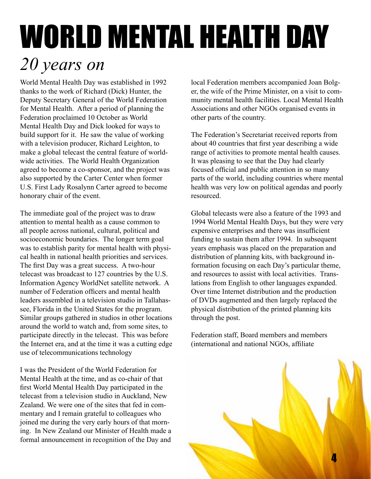### A SALUTE *to Richard Hunter (1914-2004)* WORLD MENTAL HEALTH DAY *20 years on*

World Mental Health Day was established in 1992 thanks to the work of Richard (Dick) Hunter, the Deputy Secretary General of the World Federation for Mental Health. After a period of planning the Federation proclaimed 10 October as World Mental Health Day and Dick looked for ways to build support for it. He saw the value of working with a television producer, Richard Leighton, to make a global telecast the central feature of worldwide activities. The World Health Organization agreed to become a co-sponsor, and the project was also supported by the Carter Center when former U.S. First Lady Rosalynn Carter agreed to become honorary chair of the event.

The immediate goal of the project was to draw attention to mental health as a cause common to all people across national, cultural, political and socioeconomic boundaries. The longer term goal was to establish parity for mental health with physical health in national health priorities and services. The first Day was a great success. A two-hour telecast was broadcast to 127 countries by the U.S. Information Agency WorldNet satellite network. A number of Federation officers and mental health leaders assembled in a television studio in Tallahassee, Florida in the United States for the program. Similar groups gathered in studios in other locations around the world to watch and, from some sites, to participate directly in the telecast. This was before the Internet era, and at the time it was a cutting edge use of telecommunications technology

I was the President of the World Federation for Mental Health at the time, and as co-chair of that first World Mental Health Day participated in the telecast from a television studio in Auckland, New Zealand. We were one of the sites that fed in commentary and I remain grateful to colleagues who joined me during the very early hours of that morning. In New Zealand our Minister of Health made a formal announcement in recognition of the Day and

local Federation members accompanied Joan Bolger, the wife of the Prime Minister, on a visit to community mental health facilities. Local Mental Health Associations and other NGOs organised events in other parts of the country.

The Federation's Secretariat received reports from about 40 countries that first year describing a wide range of activities to promote mental health causes. It was pleasing to see that the Day had clearly focused official and public attention in so many parts of the world, including countries where mental health was very low on political agendas and poorly resourced.

Global telecasts were also a feature of the 1993 and 1994 World Mental Health Days, but they were very expensive enterprises and there was insufficient funding to sustain them after 1994. In subsequent years emphasis was placed on the preparation and distribution of planning kits, with background information focusing on each Day's particular theme, and resources to assist with local activities. Translations from English to other languages expanded. Over time Internet distribution and the production of DVDs augmented and then largely replaced the physical distribution of the printed planning kits through the post.

Federation staff, Board members and members (international and national NGOs, affiliate

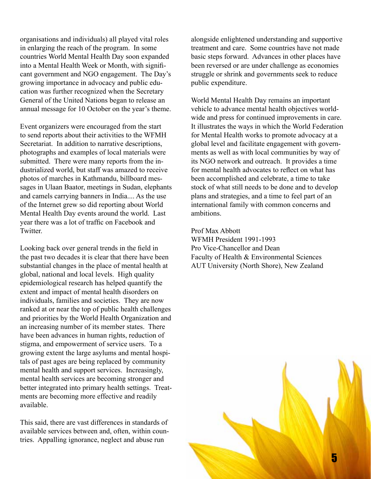organisations and individuals) all played vital roles in enlarging the reach of the program. In some countries World Mental Health Day soon expanded into a Mental Health Week or Month, with significant government and NGO engagement. The Day's growing importance in advocacy and public education was further recognized when the Secretary General of the United Nations began to release an annual message for 10 October on the year's theme.

Event organizers were encouraged from the start to send reports about their activities to the WFMH Secretariat. In addition to narrative descriptions, photographs and examples of local materials were submitted. There were many reports from the industrialized world, but staff was amazed to receive photos of marches in Kathmandu, billboard messages in Ulaan Baator, meetings in Sudan, elephants and camels carrying banners in India.... As the use of the Internet grew so did reporting about World Mental Health Day events around the world. Last year there was a lot of traffic on Facebook and **Twitter** 

Looking back over general trends in the field in the past two decades it is clear that there have been substantial changes in the place of mental health at global, national and local levels. High quality epidemiological research has helped quantify the extent and impact of mental health disorders on individuals, families and societies. They are now ranked at or near the top of public health challenges and priorities by the World Health Organization and an increasing number of its member states. There have been advances in human rights, reduction of stigma, and empowerment of service users. To a growing extent the large asylums and mental hospitals of past ages are being replaced by community mental health and support services. Increasingly, mental health services are becoming stronger and better integrated into primary health settings. Treatments are becoming more effective and readily available.

This said, there are vast differences in standards of available services between and, often, within countries. Appalling ignorance, neglect and abuse run

alongside enlightened understanding and supportive treatment and care. Some countries have not made basic steps forward. Advances in other places have been reversed or are under challenge as economies struggle or shrink and governments seek to reduce public expenditure.

World Mental Health Day remains an important vehicle to advance mental health objectives worldwide and press for continued improvements in care. It illustrates the ways in which the World Federation for Mental Health works to promote advocacy at a global level and facilitate engagement with governments as well as with local communities by way of its NGO network and outreach. It provides a time for mental health advocates to reflect on what has been accomplished and celebrate, a time to take stock of what still needs to be done and to develop plans and strategies, and a time to feel part of an international family with common concerns and ambitions.

Prof Max Abbott WFMH President 1991-1993 Pro Vice-Chancellor and Dean Faculty of Health & Environmental Sciences AUT University (North Shore), New Zealand

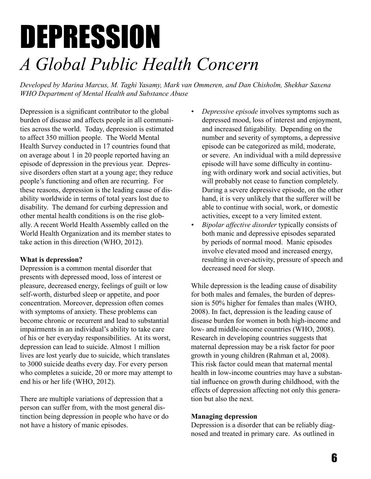### DEPRESSION *A Global Public Health Concern*

*Developed by Marina Marcus, M. Taghi Yasamy, Mark van Ommeren, and Dan Chisholm, Shekhar Saxena WHO Department of Mental Health and Substance Abuse* 

Depression is a significant contributor to the global burden of disease and affects people in all communities across the world. Today, depression is estimated to affect 350 million people. The World Mental Health Survey conducted in 17 countries found that on average about 1 in 20 people reported having an episode of depression in the previous year. Depressive disorders often start at a young age; they reduce people's functioning and often are recurring. For these reasons, depression is the leading cause of disability worldwide in terms of total years lost due to disability. The demand for curbing depression and other mental health conditions is on the rise globally. A recent World Health Assembly called on the World Health Organization and its member states to take action in this direction (WHO, 2012).

#### **What is depression?**

Depression is a common mental disorder that presents with depressed mood, loss of interest or pleasure, decreased energy, feelings of guilt or low self-worth, disturbed sleep or appetite, and poor concentration. Moreover, depression often comes with symptoms of anxiety. These problems can become chronic or recurrent and lead to substantial impairments in an individual's ability to take care of his or her everyday responsibilities. At its worst, depression can lead to suicide. Almost 1 million lives are lost yearly due to suicide, which translates to 3000 suicide deaths every day. For every person who completes a suicide, 20 or more may attempt to end his or her life (WHO, 2012).

There are multiple variations of depression that a person can suffer from, with the most general distinction being depression in people who have or do not have a history of manic episodes.

- *Depressive episode* involves symptoms such as depressed mood, loss of interest and enjoyment, and increased fatigability. Depending on the number and severity of symptoms, a depressive episode can be categorized as mild, moderate, or severe. An individual with a mild depressive episode will have some difficulty in continuing with ordinary work and social activities, but will probably not cease to function completely. During a severe depressive episode, on the other hand, it is very unlikely that the sufferer will be able to continue with social, work, or domestic activities, except to a very limited extent.
- *• Bipolar affective disorder* typically consists of both manic and depressive episodes separated by periods of normal mood. Manic episodes involve elevated mood and increased energy, resulting in over-activity, pressure of speech and decreased need for sleep.

While depression is the leading cause of disability for both males and females, the burden of depression is 50% higher for females than males (WHO, 2008). In fact, depression is the leading cause of disease burden for women in both high-income and low- and middle-income countries (WHO, 2008). Research in developing countries suggests that maternal depression may be a risk factor for poor growth in young children (Rahman et al, 2008). This risk factor could mean that maternal mental health in low-income countries may have a substantial influence on growth during childhood, with the effects of depression affecting not only this generation but also the next.

#### **Managing depression**

Depression is a disorder that can be reliably diagnosed and treated in primary care. As outlined in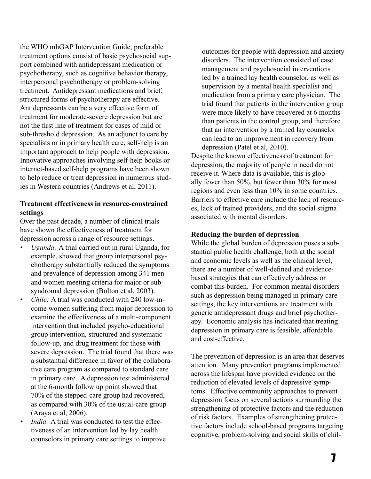the WHO mhGAP Intervention Guide, preferable treatment options consist of basic psychosocial support combined with antidepressant medication or psychotherapy, such as cognitive behavior therapy, interpersonal psychotherapy or problem-solving treatment. Antidepressant medications and brief, structured forms of psychotherapy are effective. Antidepressants can be a very effective form of treatment for moderate-severe depression but are not the first line of treatment for cases of mild or sub-threshold depression. As an adjunct to care by specialists or in primary health care, self-help is an important approach to help people with depression. Innovative approaches involving self-help books or internet-based self-help programs have been shown to help reduce or treat depression in numerous studies in Western countries (Andrews et al, 2011).

#### **Treatment effectiveness in resource-constrained settings**

Over the past decade, a number of clinical trials have shown the effectiveness of treatment for depression across a range of resource settings.

- *• Uganda:* A trial carried out in rural Uganda, for example, showed that group interpersonal psychotherapy substantially reduced the symptoms and prevalence of depression among 341 men and women meeting criteria for major or subsyndromal depression (Bolton et al, 2003).
- *Chile:* A trial was conducted with 240 low-income women suffering from major depression to examine the effectiveness of a multi-component intervention that included psycho-educational group intervention, structured and systematic follow-up, and drug treatment for those with severe depression. The trial found that there was a substantial difference in favor of the collaborative care program as compared to standard care in primary care. A depression test administered at the 6-month follow up point showed that 70% of the stepped-care group had recovered, as compared with 30% of the usual-care group (Araya et al, 2006).
- *India:* A trial was conducted to test the effectiveness of an intervention led by lay health counselors in primary care settings to improve

outcomes for people with depression and anxiety disorders. The intervention consisted of case management and psychosocial interventions led by a trained lay health counselor, as well as supervision by a mental health specialist and medication from a primary care physician. The trial found that patients in the intervention group were more likely to have recovered at 6 months than patients in the control group, and therefore that an intervention by a trained lay counselor can lead to an improvement in recovery from depression (Patel et al, 2010).

Despite the known effectiveness of treatment for depression, the majority of people in need do not receive it. Where data is available, this is globally fewer than 50%, but fewer than 30% for most regions and even less than 10% in some countries. Barriers to effective care include the lack of resources, lack of trained providers, and the social stigma associated with mental disorders.

#### **Reducing the burden of depression**

While the global burden of depression poses a substantial public health challenge, both at the social and economic levels as well as the clinical level, there are a number of well-defined and evidencebased strategies that can effectively address or combat this burden. For common mental disorders such as depression being managed in primary care settings, the key interventions are treatment with generic antidepressant drugs and brief psychotherapy. Economic analysis has indicated that treating depression in primary care is feasible, affordable and cost-effective.

The prevention of depression is an area that deserves attention. Many prevention programs implemented across the lifespan have provided evidence on the reduction of elevated levels of depressive symptoms. Effective community approaches to prevent depression focus on several actions surrounding the strengthening of protective factors and the reduction of risk factors. Examples of strengthening protective factors include school-based programs targeting cognitive, problem-solving and social skills of chil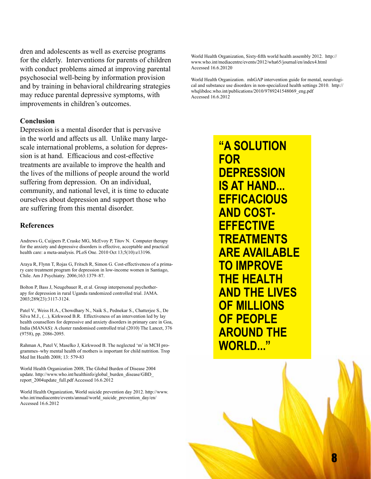dren and adolescents as well as exercise programs for the elderly. Interventions for parents of children with conduct problems aimed at improving parental psychosocial well-being by information provision and by training in behavioral childrearing strategies may reduce parental depressive symptoms, with improvements in children's outcomes.

#### **Conclusion**

Depression is a mental disorder that is pervasive in the world and affects us all. Unlike many largescale international problems, a solution for depression is at hand. Efficacious and cost-effective treatments are available to improve the health and the lives of the millions of people around the world suffering from depression. On an individual, community, and national level, it is time to educate ourselves about depression and support those who are suffering from this mental disorder.

#### **References**

Andrews G, Cuijpers P, Craske MG, McEvoy P, Titov N. Computer therapy for the anxiety and depressive disorders is effective, acceptable and practical health care: a meta-analysis. PLoS One. 2010 Oct 13;5(10):e13196.

Araya R, Flynn T, Rojas G, Fritsch R, Simon G. Cost-effectiveness of a primary care treatment program for depression in low-income women in Santiago, Chile. Am J Psychiatry. 2006;163:1379–87.

Bolton P, Bass J, Neugebauer R, et al. Group interpersonal psychotherapy for depression in rural Uganda randomized controlled trial. JAMA. 2003;289(23):3117-3124.

Patel V., Weiss H.A., Chowdhary N., Naik S., Pednekar S., Chatterjee S., De Silva M.J., (...), Kirkwood B.R. Effectiveness of an intervention led by lay health counsellors for depressive and anxiety disorders in primary care in Goa, India (MANAS): A cluster randomised controlled trial (2010) The Lancet, 376 (9758), pp. 2086-2095.

Rahman A, Patel V, Maselko J, Kirkwood B. The neglected 'm' in MCH programmes–why mental health of mothers is important for child nutrition. Trop Med Int Health 2008; 13: 579-83

World Health Organization 2008, The Global Burden of Disease 2004 update. http://www.who.int/healthinfo/global\_burden\_disease/GBD\_ report\_2004update\_full.pdf Accessed 16.6.2012

World Health Organization, World suicide prevention day 2012. http://www. who.int/mediacentre/events/annual/world\_suicide\_prevention\_day/en/ Accessed 16.6.2012

World Health Organization, Sixty-fifth world health assembly 2012. http:// www.who.int/mediacentre/events/2012/wha65/journal/en/index4.html Accessed 16.6.20120

World Health Organization. mhGAP intervention guide for mental, neurological and substance use disorders in non-specialized health settings 2010. http:// whqlibdoc.who.int/publications/2010/9789241548069\_eng.pdf Accessed 16.6.2012

> **"A SOLUTION FOR DEPRESSION IS AT HAND... EFFICACIOUS AND COST-EFFECTIVE TREATMENTS ARE AVAILABLE TO IMPROVE THE HEALTH AND THE LIVES OF MILLIONS OF PEOPLE AROUND THE WORLD..."**

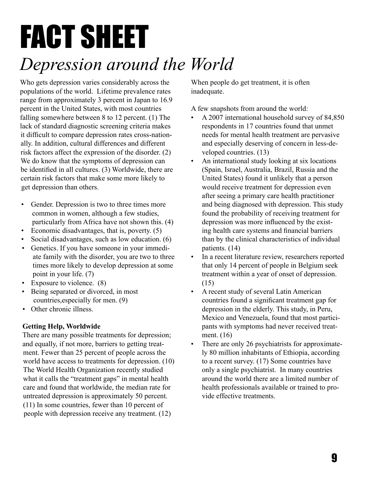### FACT SHEET *Depression around the World*

Who gets depression varies considerably across the populations of the world. Lifetime prevalence rates range from approximately 3 percent in Japan to 16.9 percent in the United States, with most countries falling somewhere between 8 to 12 percent. (1) The lack of standard diagnostic screening criteria makes it difficult to compare depression rates cross-nationally. In addition, cultural differences and different risk factors affect the expression of the disorder. (2) We do know that the symptoms of depression can be identified in all cultures. (3) Worldwide, there are certain risk factors that make some more likely to get depression than others.

- Gender. Depression is two to three times more common in women, although a few studies, particularly from Africa have not shown this. (4)
- Economic disadvantages, that is, poverty. (5)
- Social disadvantages, such as low education. (6)
- Genetics. If you have someone in your immediate family with the disorder, you are two to three times more likely to develop depression at some point in your life. (7)
- Exposure to violence. (8)
- Being separated or divorced, in most countries,especially for men. (9)
- Other chronic illness.

#### **Getting Help, Worldwide**

There are many possible treatments for depression; and equally, if not more, barriers to getting treatment. Fewer than 25 percent of people across the world have access to treatments for depression. (10) The World Health Organization recently studied what it calls the "treatment gaps" in mental health care and found that worldwide, the median rate for untreated depression is approximately 50 percent. (11) In some countries, fewer than 10 percent of people with depression receive any treatment. (12)

When people do get treatment, it is often inadequate.

A few snapshots from around the world:

- A 2007 international household survey of 84,850 respondents in 17 countries found that unmet needs for mental health treatment are pervasive and especially deserving of concern in less-developed countries. (13)
- An international study looking at six locations (Spain, Israel, Australia, Brazil, Russia and the United States) found it unlikely that a person would receive treatment for depression even after seeing a primary care health practitioner and being diagnosed with depression. This study found the probability of receiving treatment for depression was more influenced by the existing health care systems and financial barriers than by the clinical characteristics of individual patients. (14)
- In a recent literature review, researchers reported that only 14 percent of people in Belgium seek treatment within a year of onset of depression. (15)
- A recent study of several Latin American countries found a significant treatment gap for depression in the elderly. This study, in Peru, Mexico and Venezuela, found that most participants with symptoms had never received treatment. (16)
- There are only 26 psychiatrists for approximately 80 million inhabitants of Ethiopia, according to a recent survey. (17) Some countries have only a single psychiatrist. In many countries around the world there are a limited number of health professionals available or trained to provide effective treatments.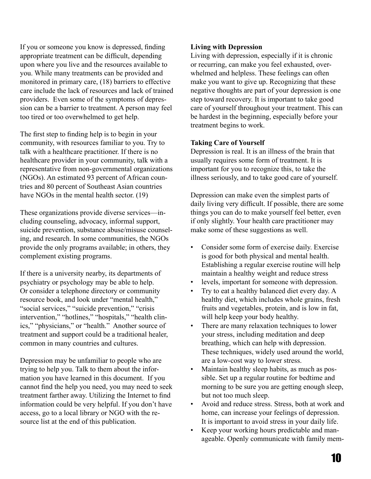If you or someone you know is depressed, finding appropriate treatment can be difficult, depending upon where you live and the resources available to you. While many treatments can be provided and monitored in primary care, (18) barriers to effective care include the lack of resources and lack of trained providers. Even some of the symptoms of depression can be a barrier to treatment. A person may feel too tired or too overwhelmed to get help.

The first step to finding help is to begin in your community, with resources familiar to you. Try to talk with a healthcare practitioner. If there is no healthcare provider in your community, talk with a representative from non-governmental organizations (NGOs). An estimated 93 percent of African countries and 80 percent of Southeast Asian countries have NGOs in the mental health sector. (19)

These organizations provide diverse services—including counseling, advocacy, informal support, suicide prevention, substance abuse/misuse counseling, and research. In some communities, the NGOs provide the only programs available; in others, they complement existing programs.

If there is a university nearby, its departments of psychiatry or psychology may be able to help. Or consider a telephone directory or community resource book, and look under "mental health," "social services," "suicide prevention," "crisis" intervention," "hotlines," "hospitals," "health clinics," "physicians," or "health." Another source of treatment and support could be a traditional healer, common in many countries and cultures.

Depression may be unfamiliar to people who are trying to help you. Talk to them about the information you have learned in this document. If you cannot find the help you need, you may need to seek treatment farther away. Utilizing the Internet to find information could be very helpful. If you don't have access, go to a local library or NGO with the resource list at the end of this publication.

#### **Living with Depression**

Living with depression, especially if it is chronic or recurring, can make you feel exhausted, overwhelmed and helpless. These feelings can often make you want to give up. Recognizing that these negative thoughts are part of your depression is one step toward recovery. It is important to take good care of yourself throughout your treatment. This can be hardest in the beginning, especially before your treatment begins to work.

#### **Taking Care of Yourself**

Depression is real. It is an illness of the brain that usually requires some form of treatment. It is important for you to recognize this, to take the illness seriously, and to take good care of yourself.

Depression can make even the simplest parts of daily living very difficult. If possible, there are some things you can do to make yourself feel better, even if only slightly. Your health care practitioner may make some of these suggestions as well.

- Consider some form of exercise daily. Exercise is good for both physical and mental health. Establishing a regular exercise routine will help maintain a healthy weight and reduce stress
- levels, important for someone with depression.
- Try to eat a healthy balanced diet every day. A healthy diet, which includes whole grains, fresh fruits and vegetables, protein, and is low in fat, will help keep your body healthy.
- There are many relaxation techniques to lower your stress, including meditation and deep breathing, which can help with depression. These techniques, widely used around the world, are a low-cost way to lower stress.
- Maintain healthy sleep habits, as much as possible. Set up a regular routine for bedtime and morning to be sure you are getting enough sleep, but not too much sleep.
- Avoid and reduce stress. Stress, both at work and home, can increase your feelings of depression. It is important to avoid stress in your daily life.
- Keep your working hours predictable and manageable. Openly communicate with family mem-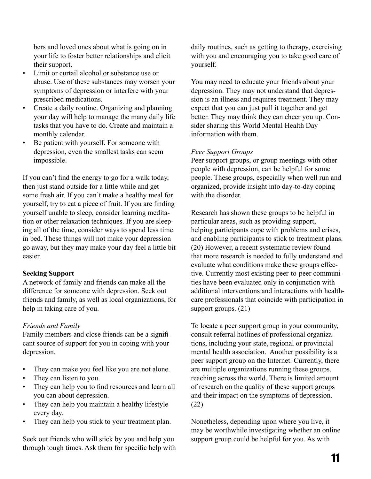bers and loved ones about what is going on in your life to foster better relationships and elicit their support.

- Limit or curtail alcohol or substance use or abuse. Use of these substances may worsen your symptoms of depression or interfere with your prescribed medications.
- Create a daily routine. Organizing and planning your day will help to manage the many daily life tasks that you have to do. Create and maintain a monthly calendar.
- Be patient with yourself. For someone with depression, even the smallest tasks can seem impossible.

If you can't find the energy to go for a walk today, then just stand outside for a little while and get some fresh air. If you can't make a healthy meal for yourself, try to eat a piece of fruit. If you are finding yourself unable to sleep, consider learning meditation or other relaxation techniques. If you are sleeping all of the time, consider ways to spend less time in bed. These things will not make your depression go away, but they may make your day feel a little bit easier.

#### **Seeking Support**

A network of family and friends can make all the difference for someone with depression. Seek out friends and family, as well as local organizations, for help in taking care of you.

#### *Friends and Family*

Family members and close friends can be a significant source of support for you in coping with your depression.

- They can make you feel like you are not alone.
- They can listen to you.
- They can help you to find resources and learn all you can about depression.
- They can help you maintain a healthy lifestyle every day.
- They can help you stick to your treatment plan.

Seek out friends who will stick by you and help you through tough times. Ask them for specific help with

daily routines, such as getting to therapy, exercising with you and encouraging you to take good care of yourself.

You may need to educate your friends about your depression. They may not understand that depression is an illness and requires treatment. They may expect that you can just pull it together and get better. They may think they can cheer you up. Consider sharing this World Mental Health Day information with them.

#### *Peer Support Groups*

Peer support groups, or group meetings with other people with depression, can be helpful for some people. These groups, especially when well run and organized, provide insight into day-to-day coping with the disorder

Research has shown these groups to be helpful in particular areas, such as providing support, helping participants cope with problems and crises, and enabling participants to stick to treatment plans. (20) However, a recent systematic review found that more research is needed to fully understand and evaluate what conditions make these groups effective. Currently most existing peer-to-peer communities have been evaluated only in conjunction with additional interventions and interactions with healthcare professionals that coincide with participation in support groups. (21)

To locate a peer support group in your community, consult referral hotlines of professional organizations, including your state, regional or provincial mental health association. Another possibility is a peer support group on the Internet. Currently, there are multiple organizations running these groups, reaching across the world. There is limited amount of research on the quality of these support groups and their impact on the symptoms of depression. (22)

Nonetheless, depending upon where you live, it may be worthwhile investigating whether an online support group could be helpful for you. As with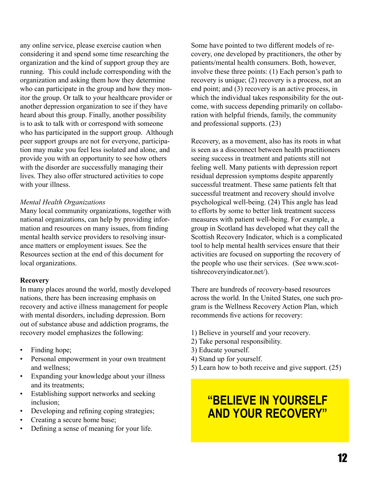any online service, please exercise caution when considering it and spend some time researching the organization and the kind of support group they are running. This could include corresponding with the organization and asking them how they determine who can participate in the group and how they monitor the group. Or talk to your healthcare provider or another depression organization to see if they have heard about this group. Finally, another possibility is to ask to talk with or correspond with someone who has participated in the support group. Although peer support groups are not for everyone, participation may make you feel less isolated and alone, and provide you with an opportunity to see how others with the disorder are successfully managing their lives. They also offer structured activities to cope with your illness.

#### *Mental Health Organizations*

Many local community organizations, together with national organizations, can help by providing information and resources on many issues, from finding mental health service providers to resolving insurance matters or employment issues. See the Resources section at the end of this document for local organizations.

#### **Recovery**

In many places around the world, mostly developed nations, there has been increasing emphasis on recovery and active illness management for people with mental disorders, including depression. Born out of substance abuse and addiction programs, the recovery model emphasizes the following:

- Finding hope;
- Personal empowerment in your own treatment and wellness;
- Expanding your knowledge about your illness and its treatments;
- Establishing support networks and seeking inclusion;
- Developing and refining coping strategies;
- Creating a secure home base;
- Defining a sense of meaning for your life.

Some have pointed to two different models of recovery, one developed by practitioners, the other by patients/mental health consumers. Both, however, involve these three points: (1) Each person's path to recovery is unique; (2) recovery is a process, not an end point; and (3) recovery is an active process, in which the individual takes responsibility for the outcome, with success depending primarily on collaboration with helpful friends, family, the community and professional supports. (23)

Recovery, as a movement, also has its roots in what is seen as a disconnect between health practitioners seeing success in treatment and patients still not feeling well. Many patients with depression report residual depression symptoms despite apparently successful treatment. These same patients felt that successful treatment and recovery should involve psychological well-being. (24) This angle has lead to efforts by some to better link treatment success measures with patient well-being. For example, a group in Scotland has developed what they call the Scottish Recovery Indicator, which is a complicated tool to help mental health services ensure that their activities are focused on supporting the recovery of the people who use their services. (See www.scottishrecoveryindicator.net/).

There are hundreds of recovery-based resources across the world. In the United States, one such program is the Wellness Recovery Action Plan, which recommends five actions for recovery:

- 1) Believe in yourself and your recovery.
- 2) Take personal responsibility.
- 3) Educate yourself.
- 4) Stand up for yourself.
- 5) Learn how to both receive and give support. (25)

#### **"BELIEVE IN YOURSELF AND YOUR RECOVERY"**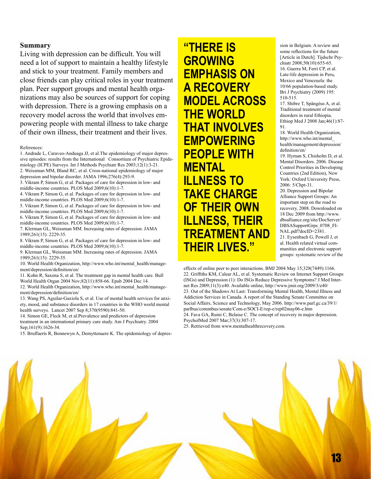#### **Summary**

Living with depression can be difficult. You will need a lot of support to maintain a healthy lifestyle and stick to your treatment. Family members and close friends can play critical roles in your treatment plan. Peer support groups and mental health organizations may also be sources of support for coping with depression. There is a growing emphasis on a recovery model across the world that involves empowering people with mental illness to take charge of their own illness, their treatment and their lives.

References:

1. Andrade L, Caraveo-Anduaga JJ, et al.The epidemiology of major depressive episodes: results from the International Consortium of Psychiatric Epidemiology (ICPE) Surveys. Int J Methods Psychiatr Res 2003;12(1):3-21. 2. Weissman MM, Bland RC, et al. Cross-national epidemiology of major

depression and bipolar disorder. JAMA 1996;276(4):293-9. 3. Vikram P, Simon G, et al. Packages of care for depression in low- and

middle-income countries. PLOS Med 2009;6(10):1-7.

4. Vikram P, Simon G, et al. Packages of care for depression in low- and middle-income countries. PLOS Med 2009;6(10):1-7.

5. Vikram P, Simon G, et al. Packages of care for depression in low- and middle-income countries. PLOS Med 2009;6(10):1-7.

6. Vikram P, Simon G, et al. Packages of care for depression in low- and middle-income countries. PLOS Med 2009;6(10):1-7.

7. Klerman GL, Weissman MM. Increasing rates of depression. JAMA 1989;261(15): 2229-35.

8. Vikram P, Simon G, et al. Packages of care for depression in low- and middle-income countries. PLOS Med 2009;6(10):1-7.

9. Klerman GL, Weissman MM. Increasing rates of depression. JAMA 1989;261(15): 2229-35.

10. World Health Organization, http://www.who.int/mental\_health/management/depression/definition/en/

11. Kohn R, Saxena S, et al. The treatment gap in mental health care. Bull World Health Organ 2004 Nov;82(11):858-66. Epub 2004 Dec 14.

12. World Health Organization, http://www.who.int/mental\_health/management/depression/definition/en/

13. Wang PS, Aguilar-Gaxiola S, et al. Use of mental health services for anxiety, mood, and substance disorders in 17 countries in the WHO world mental health surveys. Lancet 2007 Sep 8;370(9590):841-50.

14. Simon GE, Fleck M, et al.Prevalence and predictors of depression treatment in an international primary care study. Am J Psychiatry. 2004 Sep;161(9):1626-34.

15. Bruffaerts R, Bonnewyn A, Demyttenaere K. The epidemiology of depres-

**"THERE IS GROWING EMPHASIS ON A RECOVERY MODEL ACROSS THE WORLD THAT INVOLVES EMPOWERING PEOPLE WITH MENTAL ILLNESS TO TAKE CHARGE OF THEIR OWN ILLNESS, THEIR TREATMENT AND THEIR LIVES."**

sion in Belgium. A review and some reflections for the future [Article in Dutch]. Tijdschr Psychiatr 2008;50(10):655-65. 16. Guerra M, Ferri CP, et al. Late-life depression in Peru, Mexico and Venezuela: the 10/66 population-based study. Bri J Psychiatry (2009) 195: 510-515.

17. Shibre T, Spångéus A, et al. Traditional treatment of mental disorders in rural Ethiopia. Ethiop Med J 2008 Jan;46(1):87- 91.

18. World Health Organization, http://www.who.int/mental\_ health/management/depression/ definition/en/

19. Hyman S, Chisholm D, et al. Mental Disorders. 2006. Disease Control Priorities in Developing Countries (2nd Edition), New York: Oxford University Press, 2006: 5/Chpt-31.

20. Depression and Bipolar Alliance Support Groups: An important step on the road to recovery, 2008. Downloaded on 18 Dec 2009 from http://www. dbsalliance.org/site/DocServer/ DBSASupportGrps\_0708\_FI-NAL.pdf?docID=2381. 21. Eysenbach G, Powell J, et al. Health related virtual com-

munities and electronic support groups: systematic review of the

effects of online peer to peer interactions. BMJ 2004 May 15;328(7449):1166. 22. Griffiths KM, Calear AL, et al. Systematic Review on Internet Support Groups (ISGs) and Depression (1): Do ISGs Reduce Depressive Symptoms? J Med Internet Res 2009;11(3):e40. Available online, http://www.jmir.org/2009/3/e40/ 23. Out of the Shadows At Last: Transforming Mental Health, Mental Illness and Addiction Services in Canada. A report of the Standing Senate Committee on Social Affairs, Science and Technology, May 2006. http://www.parl.gc.ca/39/1/ parlbus/commbus/senate/Com-e/SOCI-E/rep-e/rep02may06-e.htm 24. Fava GA, Ruini C, Belaise C. The concept of recovery in major depression. PsycholMed 2007 Mar;37(3):307-17.

25. Retrieved from www.mentalhealthrecovery.com.

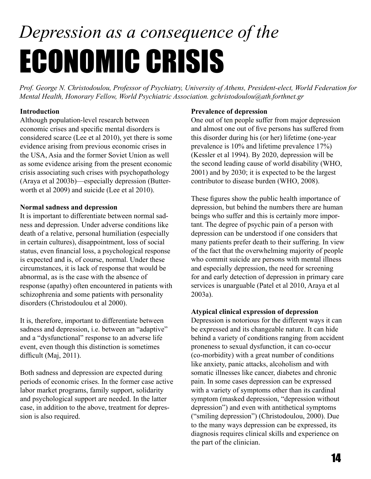## *Depression as a consequence of the*  ECONOMIC CRISIS

*Prof. George N. Christodoulou, Professor of Psychiatry, University of Athens, President-elect, World Federation for Mental Health, Honorary Fellow, World Psychiatric Association. gchristodoulou@ath.forthnet.gr*

#### **Introduction**

Although population-level research between economic crises and specific mental disorders is considered scarce (Lee et al 2010), yet there is some evidence arising from previous economic crises in the USA, Asia and the former Soviet Union as well as some evidence arising from the present economic crisis associating such crises with psychopathology (Araya et al 2003b)—especially depression (Butterworth et al 2009) and suicide (Lee et al 2010).

#### **Normal sadness and depression**

It is important to differentiate between normal sadness and depression. Under adverse conditions like death of a relative, personal humiliation (especially in certain cultures), disappointment, loss of social status, even financial loss, a psychological response is expected and is, of course, normal. Under these circumstances, it is lack of response that would be abnormal, as is the case with the absence of response (apathy) often encountered in patients with schizophrenia and some patients with personality disorders (Christodoulou et al 2000).

It is, therefore, important to differentiate between sadness and depression, i.e. between an "adaptive" and a "dysfunctional" response to an adverse life event, even though this distinction is sometimes difficult (Maj, 2011).

Both sadness and depression are expected during periods of economic crises. In the former case active labor market programs, family support, solidarity and psychological support are needed. In the latter case, in addition to the above, treatment for depression is also required.

#### **Prevalence of depression**

One out of ten people suffer from major depression and almost one out of five persons has suffered from this disorder during his (or her) lifetime (one-year prevalence is 10% and lifetime prevalence 17%) (Kessler et al 1994). By 2020, depression will be the second leading cause of world disability (WHO, 2001) and by 2030; it is expected to be the largest contributor to disease burden (WHO, 2008).

These figures show the public health importance of depression, but behind the numbers there are human beings who suffer and this is certainly more important. The degree of psychic pain of a person with depression can be understood if one considers that many patients prefer death to their suffering. In view of the fact that the overwhelming majority of people who commit suicide are persons with mental illness and especially depression, the need for screening for and early detection of depression in primary care services is unarguable (Patel et al 2010, Araya et al 2003a).

#### **Atypical clinical expression of depression**

Depression is notorious for the different ways it can be expressed and its changeable nature. It can hide behind a variety of conditions ranging from accident proneness to sexual dysfunction, it can co-occur (co-morbidity) with a great number of conditions like anxiety, panic attacks, alcoholism and with somatic illnesses like cancer, diabetes and chronic pain. In some cases depression can be expressed with a variety of symptoms other than its cardinal symptom (masked depression, "depression without depression") and even with antithetical symptoms ("smiling depression") (Christodoulou, 2000). Due to the many ways depression can be expressed, its diagnosis requires clinical skills and experience on the part of the clinician.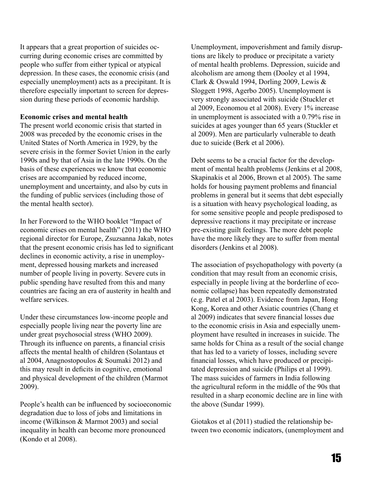It appears that a great proportion of suicides occurring during economic crises are committed by people who suffer from either typical or atypical depression. In these cases, the economic crisis (and especially unemployment) acts as a precipitant. It is therefore especially important to screen for depression during these periods of economic hardship.

#### **Economic crises and mental health**

The present world economic crisis that started in 2008 was preceded by the economic crises in the United States of North America in 1929, by the severe crisis in the former Soviet Union in the early 1990s and by that of Asia in the late 1990s. On the basis of these experiences we know that economic crises are accompanied by reduced income, unemployment and uncertainty, and also by cuts in the funding of public services (including those of the mental health sector).

In her Foreword to the WHO booklet "Impact of economic crises on mental health" (2011) the WHO regional director for Europe, Zsuzsanna Jakab, notes that the present economic crisis has led to significant declines in economic activity, a rise in unemployment, depressed housing markets and increased number of people living in poverty. Severe cuts in public spending have resulted from this and many countries are facing an era of austerity in health and welfare services.

Under these circumstances low-income people and especially people living near the poverty line are under great psychosocial stress (WHO 2009). Through its influence on parents, a financial crisis affects the mental health of children (Solantaus et al 2004, Anagnostopoulos & Soumaki 2012) and this may result in deficits in cognitive, emotional and physical development of the children (Marmot 2009).

People's health can be influenced by socioeconomic degradation due to loss of jobs and limitations in income (Wilkinson & Marmot 2003) and social inequality in health can become more pronounced (Kondo et al 2008).

Unemployment, impoverishment and family disruptions are likely to produce or precipitate a variety of mental health problems. Depression, suicide and alcoholism are among them (Dooley et al 1994, Clark & Oswald 1994, Dorling 2009, Lewis & Sloggett 1998, Agerbo 2005). Unemployment is very strongly associated with suicide (Stuckler et al 2009, Economou et al 2008). Every 1% increase in unemployment is associated with a 0.79% rise in suicides at ages younger than 65 years (Stuckler et al 2009). Men are particularly vulnerable to death due to suicide (Berk et al 2006).

Debt seems to be a crucial factor for the development of mental health problems (Jenkins et al 2008, Skapinakis et al 2006, Brown et al 2005). The same holds for housing payment problems and financial problems in general but it seems that debt especially is a situation with heavy psychological loading, as for some sensitive people and people predisposed to depressive reactions it may precipitate or increase pre-existing guilt feelings. The more debt people have the more likely they are to suffer from mental disorders (Jenkins et al 2008).

The association of psychopathology with poverty (a condition that may result from an economic crisis, especially in people living at the borderline of economic collapse) has been repeatedly demonstrated (e.g. Patel et al 2003). Evidence from Japan, Hong Kong, Korea and other Asiatic countries (Chang et al 2009) indicates that severe financial losses due to the economic crisis in Asia and especially unemployment have resulted in increases in suicide. The same holds for China as a result of the social change that has led to a variety of losses, including severe financial losses, which have produced or precipitated depression and suicide (Philips et al 1999). The mass suicides of farmers in India following the agricultural reform in the middle of the 90s that resulted in a sharp economic decline are in line with the above (Sundar 1999).

Giotakos et al (2011) studied the relationship between two economic indicators, (unemployment and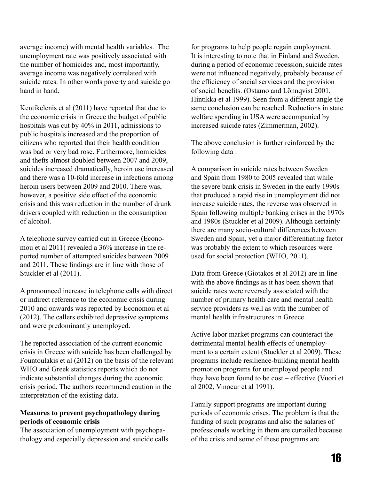average income) with mental health variables. The unemployment rate was positively associated with the number of homicides and, most importantly, average income was negatively correlated with suicide rates. In other words poverty and suicide go hand in hand.

Kentikelenis et al (2011) have reported that due to the economic crisis in Greece the budget of public hospitals was cut by 40% in 2011, admissions to public hospitals increased and the proportion of citizens who reported that their health condition was bad or very bad rose. Furthermore, homicides and thefts almost doubled between 2007 and 2009, suicides increased dramatically, heroin use increased and there was a 10-fold increase in infections among heroin users between 2009 and 2010. There was, however, a positive side effect of the economic crisis and this was reduction in the number of drunk drivers coupled with reduction in the consumption of alcohol.

A telephone survey carried out in Greece (Economou et al 2011) revealed a 36% increase in the reported number of attempted suicides between 2009 and 2011. These findings are in line with those of Stuckler et al (2011).

A pronounced increase in telephone calls with direct or indirect reference to the economic crisis during 2010 and onwards was reported by Economou et al (2012). The callers exhibited depressive symptoms and were predominantly unemployed.

The reported association of the current economic crisis in Greece with suicide has been challenged by Fountoulakis et al (2012) on the basis of the relevant WHO and Greek statistics reports which do not indicate substantial changes during the economic crisis period. The authors recommend caution in the interpretation of the existing data.

#### **Measures to prevent psychopathology during periods of economic crisis**

The association of unemployment with psychopathology and especially depression and suicide calls

for programs to help people regain employment. It is interesting to note that in Finland and Sweden, during a period of economic recession, suicide rates were not influenced negatively, probably because of the efficiency of social services and the provision of social benefits. (Ostamo and Lönnqvist 2001, Hintikka et al 1999). Seen from a different angle the same conclusion can be reached. Reductions in state welfare spending in USA were accompanied by increased suicide rates (Zimmerman, 2002).

The above conclusion is further reinforced by the following data :

A comparison in suicide rates between Sweden and Spain from 1980 to 2005 revealed that while the severe bank crisis in Sweden in the early 1990s that produced a rapid rise in unemployment did not increase suicide rates, the reverse was observed in Spain following multiple banking crises in the 1970s and 1980s (Stuckler et al 2009). Although certainly there are many socio-cultural differences between Sweden and Spain, yet a major differentiating factor was probably the extent to which resources were used for social protection (WHO, 2011).

Data from Greece (Giotakos et al 2012) are in line with the above findings as it has been shown that suicide rates were reversely associated with the number of primary health care and mental health service providers as well as with the number of mental health infrastructures in Greece.

Active labor market programs can counteract the detrimental mental health effects of unemployment to a certain extent (Stuckler et al 2009). These programs include resilience-building mental health promotion programs for unemployed people and they have been found to be cost – effective (Vuori et al 2002, Vinocur et al 1991).

Family support programs are important during periods of economic crises. The problem is that the funding of such programs and also the salaries of professionals working in them are curtailed because of the crisis and some of these programs are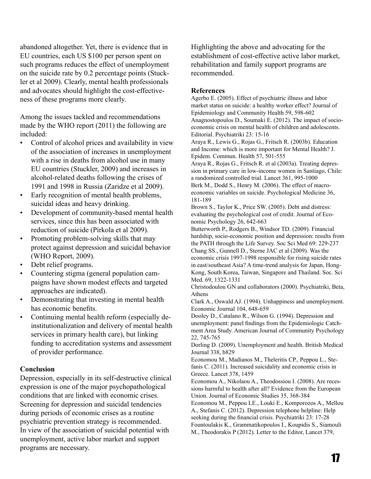abandoned altogether. Yet, there is evidence that in EU countries, each US \$100 per person spent on such programs reduces the effect of unemployment on the suicide rate by 0.2 percentage points (Stuckler et al 2009). Clearly, mental health professionals and advocates should highlight the cost-effectiveness of these programs more clearly.

Among the issues tackled and recommendations made by the WHO report (2011) the following are included:

- Control of alcohol prices and availability in view of the association of increases in unemployment with a rise in deaths from alcohol use in many EU countries (Stuckler, 2009) and increases in alcohol-related deaths following the crises of 1991 and 1998 in Russia (Zaridze et al 2009).
- Early recognition of mental health problems, suicidal ideas and heavy drinking.
- Development of community-based mental health services, since this has been associated with reduction of suicide (Pirkola et al 2009).
- Promoting problem-solving skills that may protect against depression and suicidal behavior (WHO Report, 2009).
- Debt relief programs.
- Countering stigma (general population campaigns have shown modest effects and targeted approaches are indicated).
- Demonstrating that investing in mental health has economic benefits.
- Continuing mental health reform (especially deinstitutionalization and delivery of mental health services in primary health care), but linking funding to accreditation systems and assessment of provider performance.

#### **Conclusion**

Depression, especially in its self-destructive clinical expression is one of the major psychopathological conditions that are linked with economic crises. Screening for depression and suicidal tendencies during periods of economic crises as a routine psychiatric prevention strategy is recommended. In view of the association of suicidal potential with unemployment, active labor market and support programs are necessary.

Highlighting the above and advocating for the establishment of cost-effective active labor market, rehabilitation and family support programs are recommended.

#### **References**

Agerbo E. (2005). Effect of psychiatric illness and labor market status on suicide: a healthy worker effect? Journal of Epidemiology and Community Health 59, 598-602 Anagnostopoulos D., Soumaki E. (2012). The impact of socioeconomic crisis on mental health of children and adolescents. Editorial. Psychiatriki 23: 15-16

Araya R., Lewis G., Rojas G., Fritsch R. (2003b). Education and Income: which is more important for Mental Health? J. Epidem. Commun. Health 57, 501-555

Araya R., Rojas G., Fritsch R. et al (2003a). Treating depression in primary care in low-income women in Santiago, Chile: a randomized controlled trial. Lancet 361, 995-1000 Berk M., Dodd S., Henry M. (2006). The effect of macroeconomic variables on suicide. Psychological Medicine 36, 181-189

Brown S., Taylor K., Price SW. (2005). Debt and distress: evaluating the psychological cost of credit. Journal of Economic Psychology 26, 642-663

Butterworth P., Rodgers B., Windsor TD. (2009). Financial hardship, socio-economic position and depression: results from the PATH through the Life Survey. Soc Sci Med 69: 229-237 Chang SS., Gunnell D., Sterne JAC et al (2009). Was the economic crisis 1997-1998 responsible for rising suicide rates in east/southeast Asia? A time-trend analysis for Japan, Hong-Kong, South Korea, Taiwan, Singapore and Thailand. Soc. Sci Med. 69, 1322-1331

Christodoulou GN and collaborators (2000). Psychiatriki, Beta, Athens

Clark A., Oswald AJ. (1994). Unhappiness and unemployment. Economic Journal 104, 648-659

Dooley D., Catalano R., Wilson G. (1994). Depression and unemployment: panel findings from the Epidemiologic Catchment Area Study. American Journal of Community Psychology 22, 745-765

Dorling D. (2009). Unemployment and health. British Medical Journal 338, b829

Economou M., Madianos M., Theleritis CP., Peppou L., Stefanis C. (2011). Increased suicidality and economic crisis in Greece. Lancet 378, 1459

Economou A., Nikolaou A., Theodossiou I. (2008). Are recessions harmful to health after all? Evidence from the European Union. Journal of Economic Studies 35, 368-384

Economou M., Peppou LE., Louki E., Komporozos A., Mellou A., Stefanis C. (2012). Depression telephone helpline: Help seeking during the financial crisis. Psychiatriki 23: 17-28 Fountoulakis K., Grammatikopoulos I., Koupidis S., Siamouli M., Theodorakis P (2012). Letter to the Editor, Lancet 379,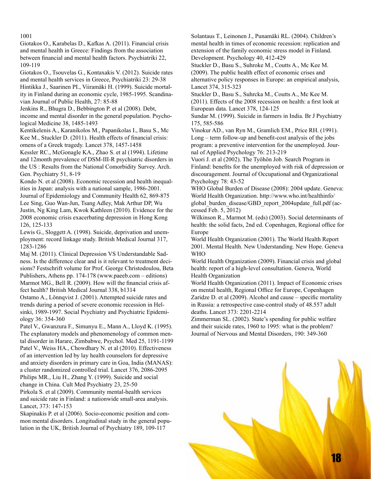#### 1001

Giotakos O., Karabelas D., Kafkas A. (2011). Financial crisis and mental health in Greece: Findings from the association between financial and mental health factors. Psychiatriki 22, 109-119

Giotakos O., Tsouvelas G., Kontaxakis V. (2012). Suicide rates and mental health services in Greece, Psychiatriki 23: 29-38 Hintikka J., Saarinen PI., Viiramäki H. (1999). Suicide mortality in Finland during an economic cycle, 1985-1995. Scandinavian Journal of Public Health, 27: 85-88

Jenkins R., Bhugra D., Bebbington P. et al (2008). Debt, income and mental disorder in the general population. Psychological Medicine 38, 1485-1493

Kentikelenis A., Karanikolos M., Papanikolas I., Basu S., Mc Kee M., Stuckler D. (2011). Health effects of financial crisis: omens of a Greek tragedy. Lancet 378, 1457-1458

Kessler RC., McGonagle KA., Zhao S. et al (1994). Lifetime and 12month prevalence of DSM-III-R psychiatric disorders in the US : Results from the National Comorbidity Survey. Arch. Gen. Psychiatry 51, 8-19

Kondo N. et al (2008). Economic recession and health inequalities in Japan: analysis with a national sample, 1986-2001. Journal of Epidemiology and Community Health 62, 869-875 Lee Sing, Guo Wan-Jun, Tsang Adley, Mak Arthur DP, Wu Justin, Ng King Lam, Kwok Kathleen (2010). Evidence for the 2008 economic crisis exacerbating depression in Hong Kong 126, 125-133

Lewis G., Sloggett A. (1998). Suicide, deprivation and unemployment: record linkage study. British Medical Journal 317, 1283-1286

Maj M. (2011). Clinical Depression VS Understandable Sadness. Is the difference clear and is it relevant to treatment decisions? Festschrift volume for Prof. George Christodoulou, Beta Publishers, Athens pp. 174-178 (www.paeeb.com – editions) Marmot MG., Bell R. (2009). How will the financial crisis affect health? British Medical Journal 338, b1314

Ostamo A., Lönnqvist J. (2001). Attempted suicide rates and trends during a period of severe economic recession in Helsinki, 1989-1997. Social Psychiatry and Psychiatric Epidemiology 36: 354-360

Patel V., Gwanzura F., Simunyu E., Mann A., Lloyd K. (1995). The explanatory models and phenomenology of common mental disorder in Harare, Zimbabwe, Psychol. Med 25, 1191-1199 Patel V., Weiss HA., Chowdhary N. et al (2010). Effectiveness of an intervention led by lay health counselors for depressive and anxiety disorders in primary care in Goa, India (MANAS): a cluster randomized controlled trial. Lancet 376, 2086-2095 Philips MR., Liu H., Zhang Y. (1999). Suicide and social change in China. Cult Med Psychiatry 23, 25-50

Pirkola S. et al (2009). Community mental-health services and suicide rate in Finland: a nationwide small-area analysis. Lancet, 373: 147-153

Skapinakis P. et al (2006). Socio-economic position and common mental disorders. Longitudinal study in the general population in the UK, British Journal of Psychiatry 189, 109-117

Solantaus T., Leinonen J., Punamäki RL. (2004). Children's mental health in times of economic recession: replication and extension of the family economic stress model in Finland. Development. Psychology 40, 412-429

Stuckler D., Basu S., Suhroke M., Coutts A., Mc Kee M. (2009). The public health effect of economic crises and alternative policy responses in Europe: an empirical analysis, Lancet 374, 315-323

Stuckler D., Basu S., Suhrcka M., Coutts A., Mc Kee M.

(2011). Effects of the 2008 recession on health: a first look at European data. Lancet 378, 124-125

Sundar M. (1999). Suicide in farmers in India. Br J Psychiatry 175, 585-586

Vinokur AD., van Ryn M., Gramlich EM., Price RH. (1991). Long – term follow-up and benefit-cost analysis of the jobs program: a preventive intervention for the unemployed. Journal of Applied Psychology 76: 213-219

Vuori J. et al (2002). The Työhön Job. Search Program in Finland: benefits for the unemployed with risk of depression or discouragement. Journal of Occupational and Organizational Psychology 78: 43-52

WHO Global Burden of Disease (2008): 2004 update. Geneva: World Health Organization. http://www.who.int/healthinfo/ global\_burden\_disease/GBD\_report\_2004update\_full.pdf (accessed Feb. 5, 2012)

Wilkinson R., Marmot M. (eds) (2003). Social determinants of health: the solid facts, 2nd ed. Copenhagen, Regional office for Europe

World Health Organization (2001). The World Health Report 2001. Mental Health. New Understanding. New Hope. Geneva WHO

World Health Organization (2009). Financial crisis and global health: report of a high-level consultation. Geneva, World Health Organization

World Health Organization (2011). Impact of Economic crises on mental health, Regional Office for Europe, Copenhagen Zaridze D. et al (2009). Alcohol and cause – specific mortality in Russia: a retrospective case-control study of 48.557 adult deaths. Lancet 373: 2201-2214

Zimmerman SL. (2002). State's spending for public welfare and their suicide rates, 1960 to 1995: what is the problem? Journal of Nervous and Mental Disorders, 190: 349-360

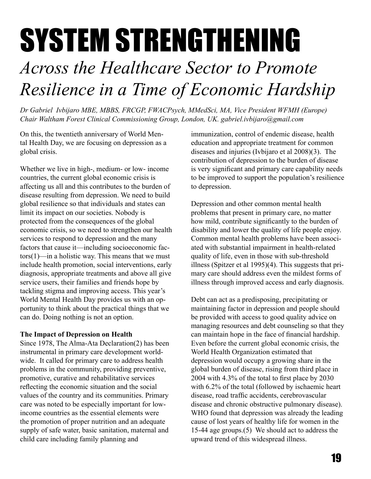# SYSTEM STRENGTHENING

### *Across the Healthcare Sector to Promote Resilience in a Time of Economic Hardship*

*Dr Gabriel Ivbijaro MBE, MBBS, FRCGP, FWACPsych, MMedSci, MA, Vice President WFMH (Europe) Chair Waltham Forest Clinical Commissioning Group, London, UK. gabriel.ivbijaro@gmail.com*

On this, the twentieth anniversary of World Mental Health Day, we are focusing on depression as a global crisis.

Whether we live in high-, medium- or low- income countries, the current global economic crisis is affecting us all and this contributes to the burden of disease resulting from depression. We need to build global resilience so that individuals and states can limit its impact on our societies. Nobody is protected from the consequences of the global economic crisis, so we need to strengthen our health services to respond to depression and the many factors that cause it—including socioeconomic fac $tors(1)$ —in a holistic way. This means that we must include health promotion, social interventions, early diagnosis, appropriate treatments and above all give service users, their families and friends hope by tackling stigma and improving access. This year's World Mental Health Day provides us with an opportunity to think about the practical things that we can do. Doing nothing is not an option.

#### **The Impact of Depression on Health**

Since 1978, The Alma-Ata Declaration(2) has been instrumental in primary care development worldwide. It called for primary care to address health problems in the community, providing preventive, promotive, curative and rehabilitative services reflecting the economic situation and the social values of the country and its communities. Primary care was noted to be especially important for lowincome countries as the essential elements were the promotion of proper nutrition and an adequate supply of safe water, basic sanitation, maternal and child care including family planning and

immunization, control of endemic disease, health education and appropriate treatment for common diseases and injuries (Ivbijaro et al 2008)(3). The contribution of depression to the burden of disease is very significant and primary care capability needs to be improved to support the population's resilience to depression.

Depression and other common mental health problems that present in primary care, no matter how mild, contribute significantly to the burden of disability and lower the quality of life people enjoy. Common mental health problems have been associated with substantial impairment in health-related quality of life, even in those with sub-threshold illness (Spitzer et al 1995)(4). This suggests that primary care should address even the mildest forms of illness through improved access and early diagnosis.

Debt can act as a predisposing, precipitating or maintaining factor in depression and people should be provided with access to good quality advice on managing resources and debt counseling so that they can maintain hope in the face of financial hardship. Even before the current global economic crisis, the World Health Organization estimated that depression would occupy a growing share in the global burden of disease, rising from third place in 2004 with 4.3% of the total to first place by 2030 with 6.2% of the total (followed by ischaemic heart disease, road traffic accidents, cerebrovascular disease and chronic obstructive pulmonary disease). WHO found that depression was already the leading cause of lost years of healthy life for women in the 15-44 age groups.(5) We should act to address the upward trend of this widespread illness.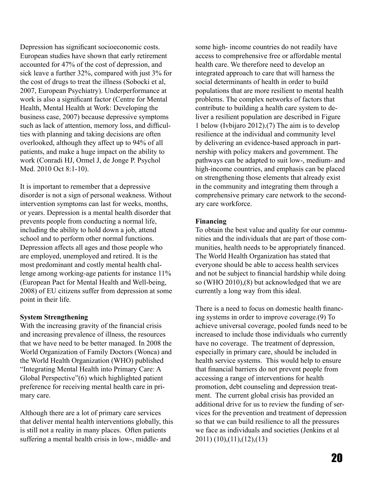Depression has significant socioeconomic costs. European studies have shown that early retirement accounted for 47% of the cost of depression, and sick leave a further 32%, compared with just 3% for the cost of drugs to treat the illness (Sobocki et al, 2007, European Psychiatry). Underperformance at work is also a significant factor (Centre for Mental Health, Mental Health at Work: Developing the business case, 2007) because depressive symptoms such as lack of attention, memory loss, and difficulties with planning and taking decisions are often overlooked, although they affect up to 94% of all patients, and make a huge impact on the ability to work (Conradi HJ, Ormel J, de Jonge P. Psychol Med. 2010 Oct 8:1-10).

It is important to remember that a depressive disorder is not a sign of personal weakness. Without intervention symptoms can last for weeks, months, or years. Depression is a mental health disorder that prevents people from conducting a normal life, including the ability to hold down a job, attend school and to perform other normal functions. Depression affects all ages and those people who are employed, unemployed and retired. It is the most predominant and costly mental health challenge among working-age patients for instance 11% (European Pact for Mental Health and Well-being, 2008) of EU citizens suffer from depression at some point in their life.

#### **System Strengthening**

With the increasing gravity of the financial crisis and increasing prevalence of illness, the resources that we have need to be better managed. In 2008 the World Organization of Family Doctors (Wonca) and the World Health Organization (WHO) published "Integrating Mental Health into Primary Care: A Global Perspective"(6) which highlighted patient preference for receiving mental health care in primary care.

Although there are a lot of primary care services that deliver mental health interventions globally, this is still not a reality in many places. Often patients suffering a mental health crisis in low-, middle- and

some high- income countries do not readily have access to comprehensive free or affordable mental health care. We therefore need to develop an integrated approach to care that will harness the social determinants of health in order to build populations that are more resilient to mental health problems. The complex networks of factors that contribute to building a health care system to deliver a resilient population are described in Figure 1 below (Ivbijaro 2012).(7) The aim is to develop resilience at the individual and community level by delivering an evidence-based approach in partnership with policy makers and government. The pathways can be adapted to suit low-, medium- and high-income countries, and emphasis can be placed on strengthening those elements that already exist in the community and integrating them through a comprehensive primary care network to the secondary care workforce.

#### **Financing**

To obtain the best value and quality for our communities and the individuals that are part of those communities, health needs to be appropriately financed. The World Health Organization has stated that everyone should be able to access health services and not be subject to financial hardship while doing so (WHO 2010),(8) but acknowledged that we are currently a long way from this ideal.

There is a need to focus on domestic health financing systems in order to improve coverage.(9) To achieve universal coverage, pooled funds need to be increased to include those individuals who currently have no coverage. The treatment of depression, especially in primary care, should be included in health service systems. This would help to ensure that financial barriers do not prevent people from accessing a range of interventions for health promotion, debt counseling and depression treatment. The current global crisis has provided an additional drive for us to review the funding of services for the prevention and treatment of depression so that we can build resilience to all the pressures we face as individuals and societies (Jenkins et al 2011) (10),(11),(12),(13)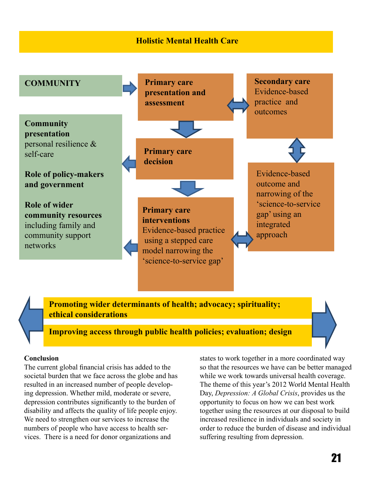#### **Holistic Mental Health Care**



**Promoting wider determinants of health; advocacy; spirituality; ethical considerations**

**Improving access through public health policies; evaluation; design**

#### **Conclusion**

The current global financial crisis has added to the societal burden that we face across the globe and has resulted in an increased number of people developing depression. Whether mild, moderate or severe, depression contributes significantly to the burden of disability and affects the quality of life people enjoy. We need to strengthen our services to increase the numbers of people who have access to health services. There is a need for donor organizations and

states to work together in a more coordinated way so that the resources we have can be better managed while we work towards universal health coverage. The theme of this year's 2012 World Mental Health Day, *Depression: A Global Crisis*, provides us the opportunity to focus on how we can best work together using the resources at our disposal to build increased resilience in individuals and society in order to reduce the burden of disease and individual suffering resulting from depression.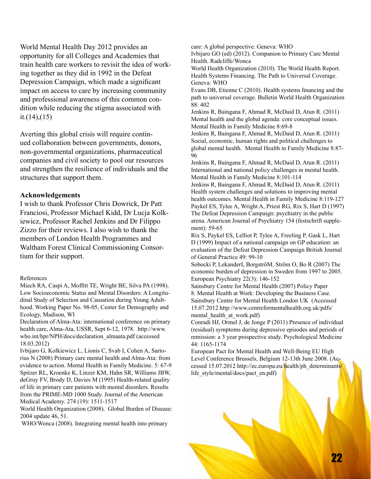World Mental Health Day 2012 provides an opportunity for all Colleges and Academies that train health care workers to revisit the idea of working together as they did in 1992 in the Defeat Depression Campaign, which made a significant impact on access to care by increasing community and professional awareness of this common condition while reducing the stigma associated with it. $(14)$ , $(15)$ 

Averting this global crisis will require continued collaboration between governments, donors, non-governmental organizations, pharmaceutical companies and civil society to pool our resources and strengthen the resilience of individuals and the structures that support them.

#### **Acknowledgements**

I wish to thank Professor Chris Dowrick, Dr Patt Franciosi, Professor Michael Kidd, Dr Lucja Kolkiewicz, Professor Rachel Jenkins and Dr Filippo Zizzo for their reviews. I also wish to thank the members of London Health Programmes and Waltham Forest Clinical Commissioning Consortium for their support.

#### References

Miech RA, Caspi A, Moffitt TE, Wright BE, Silva PA (1998). Low Socioeconomic Status and Mental Disorders: A Longitudinal Study of Selection and Causation during Young Adulthood. Working Paper No. 98-05, Center for Demography and Ecology, Madison, WI

Declaration of Alma-Ata: international conference on primary health care, Alma-Ata, USSR, Sept 6-12, 1978. http://www. who.int/hpr/NPH/docs/declaration\_almaata.pdf (accessed 18.03.2012)

Ivbijaro G, Kolkiewicz L, Lionis C, Svab I, Cohen A, Sartorius N (2008) Primary care mental health and Alma-Ata: from evidence to action. Mental Health in Family Medicine. 5: 67-9 Spitzer RL, Kroenke K, Linzer KM, Hahn SR, Williams JBW, deGruy FV, Brody D, Davies M (1995) Health-related quality of life in primary care patients with mental disorders. Results from the PRIME-MD 1000 Study. Journal of the American Medical Academy. 274 (19): 1511-1517

World Health Organization (2008). Global Burden of Disease: 2004 update 46, 51.

WHO/Wonca (2008). Integrating mental health into primary

care: A global perspective. Geneva: WHO

Ivbijaro GO (ed) (2012). Companion to Primary Care Mental Health. Radcliffe/Wonca

World Health Organization (2010). The World Health Report. Health Systems Financing. The Path to Universal Coverage. Geneva: WHO

Evans DB, Etienne C (2010). Health systems financing and the path to universal coverage. Bulletin World Health Organization 88: 402

Jenkins R, Baingana F, Ahmad R, McDaid D, Atun R. (2011) Mental health and the global agenda: core conceptual issues. Mental Health in Family Medicine 8:69-8

Jenkins R, Baingana F, Ahmad R, McDaid D, Atun R. (2011) Social, economic, human rights and political challenges to global mental health. Mental Health in Family Medicine 8:87- 96

Jenkins R, Baingana F, Ahmad R, McDaid D, Atun R. (2011) International and national policy challenges in mental health. Mental Health in Family Medicine 8:101-114

Jenkins R, Baingana F, Ahmad R, McDaid D, Atun R. (2011) Health system challenges and solutions to improving mental health outcomes. Mental Health in Family Medicine 8:119-127 Paykel ES, Tylee A, Wright A, Priest RG, Rix S, Hart D (1997) The Defeat Depression Campaign: psychiatry in the public arena. American Journal of Psychiatry 154 (festschrift supplement): 59-65

Rix S, Paykel ES, Lelliot P, Tylee A, Freeling P, Gask L, Hart D (1999) Impact of a national campaign on GP education: an evaluation of the Defeat Depression Campaign British Journal of General Practice 49: 99-10

Sobocki P, LekanderI, BorgströM, Ström O, Bo R (2007) The economic burden of depression in Sweden from 1997 to 2005. European Psychiatry 22(3): 146-152

Sainsbury Centre for Mental Health (2007) Policy Paper 8. Mental Health at Work: Developing the Business Case. Sainsbury Centre for Mental Health London UK (Accessed 15.07.2012 http://www.centreformentalhealth.org.uk/pdfs/ mental health at work.pdf)

Conradi HJ, Ormel J, de Jonge P (2011) Presence of individual (residual) symptoms during depressive episodes and periods of remission: a 3 year prospective study. Psychological Medicine 44: 1165-1174

European Pact for Mental Health and Well-Being EU High Level Conference Brussels, Belgium 12-13th June 2008. (Accessed 15.07.2012 http://ec.europa.eu/health/ph\_determinants/ life\_style/mental/docs/pact\_en.pdf)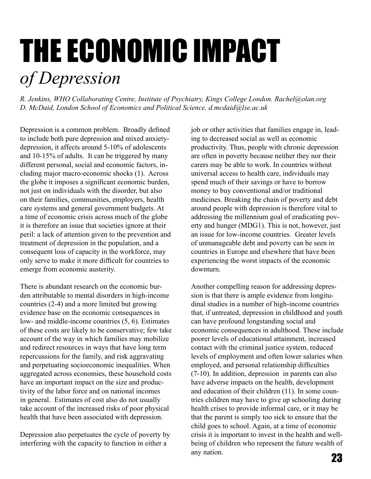## THE ECONOMIC IMPACT *of Depression*

*R. Jenkins, WHO Collaborating Centre, Institute of Psychiatry, Kings College London. Rachel@olan.org D. McDaid, London School of Economics and Political Science. d.mcdaid@lse.ac.uk*

Depression is a common problem. Broadly defined to include both pure depression and mixed anxietydepression, it affects around 5-10% of adolescents and 10-15% of adults. It can be triggered by many different personal, social and economic factors, including major macro-economic shocks (1). Across the globe it imposes a significant economic burden, not just on individuals with the disorder, but also on their families, communities, employers, health care systems and general government budgets. At a time of economic crisis across much of the globe it is therefore an issue that societies ignore at their peril: a lack of attention given to the prevention and treatment of depression in the population, and a consequent loss of capacity in the workforce, may only serve to make it more difficult for countries to emerge from economic austerity.

There is abundant research on the economic burden attributable to mental disorders in high-income countries (2-4) and a more limited but growing evidence base on the economic consequences in low- and middle-income countries (5, 6). Estimates of these costs are likely to be conservative; few take account of the way in which families may mobilize and redirect resources in ways that have long term repercussions for the family, and risk aggravating and perpetuating socioeconomic inequalities. When aggregated across economies, these household costs have an important impact on the size and productivity of the labor force and on national incomes in general. Estimates of cost also do not usually take account of the increased risks of poor physical health that have been associated with depression.

Depression also perpetuates the cycle of poverty by interfering with the capacity to function in either a

job or other activities that families engage in, leading to decreased social as well as economic productivity. Thus, people with chronic depression are often in poverty because neither they nor their carers may be able to work. In countries without universal access to health care, individuals may spend much of their savings or have to borrow money to buy conventional and/or traditional medicines. Breaking the chain of poverty and debt around people with depression is therefore vital to addressing the millennium goal of eradicating poverty and hunger (MDG1). This is not, however, just an issue for low-income countries. Greater levels of unmanageable debt and poverty can be seen in countries in Europe and elsewhere that have been experiencing the worst impacts of the economic downturn.

Another compelling reason for addressing depression is that there is ample evidence from longitudinal studies in a number of high-income countries that, if untreated, depression in childhood and youth can have profound longstanding social and economic consequences in adulthood. These include poorer levels of educational attainment, increased contact with the criminal justice system, reduced levels of employment and often lower salaries when employed, and personal relationship difficulties (7-10). In addition, depression in parents can also have adverse impacts on the health, development and education of their children (11). In some countries children may have to give up schooling during health crises to provide informal care, or it may be that the parent is simply too sick to ensure that the child goes to school. Again, at a time of economic crisis it is important to invest in the health and wellbeing of children who represent the future wealth of any nation. **23**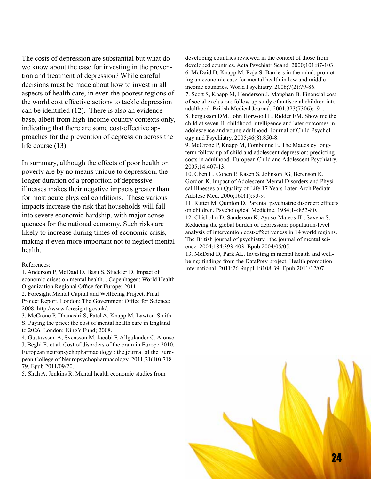The costs of depression are substantial but what do we know about the case for investing in the prevention and treatment of depression? While careful decisions must be made about how to invest in all aspects of health care, in even the poorest regions of the world cost effective actions to tackle depression can be identified (12). There is also an evidence base, albeit from high-income country contexts only, indicating that there are some cost-effective approaches for the prevention of depression across the life course (13).

In summary, although the effects of poor health on poverty are by no means unique to depression, the longer duration of a proportion of depressive illnesses makes their negative impacts greater than for most acute physical conditions. These various impacts increase the risk that households will fall into severe economic hardship, with major consequences for the national economy. Such risks are likely to increase during times of economic crisis, making it even more important not to neglect mental health.

#### References:

1. Anderson P, McDaid D, Basu S, Stuckler D. Impact of economic crises on mental health. . Copenhagen: World Health Organization Regional Office for Europe; 2011.

2. Foresight Mental Capital and Wellbeing Project. Final Project Report. London: The Government Office for Science; 2008. http://www.foresight.gov.uk/.

3. McCrone P, Dhanasiri S, Patel A, Knapp M, Lawton-Smith S. Paying the price: the cost of mental health care in England to 2026. London: King's Fund; 2008.

4. Gustavsson A, Svensson M, Jacobi F, Allgulander C, Alonso J, Beghi E, et al. Cost of disorders of the brain in Europe 2010. European neuropsychopharmacology : the journal of the European College of Neuropsychopharmacology. 2011;21(10):718- 79. Epub 2011/09/20.

5. Shah A, Jenkins R. Mental health economic studies from

developing countries reviewed in the context of those from developed countries. Acta Psychiatr Scand. 2000;101:87-103. 6. McDaid D, Knapp M, Raja S. Barriers in the mind: promoting an economic case for mental health in low and middle income countries. World Psychiatry. 2008;7(2):79-86.

7. Scott S, Knapp M, Henderson J, Maughan B. Financial cost of social exclusion: follow up study of antisocial children into adulthood. British Medical Journal. 2001;323(7306):191. 8. Fergusson DM, John Horwood L, Ridder EM. Show me the

child at seven II: childhood intelligence and later outcomes in adolescence and young adulthood. Journal of Child Psychology and Psychiatry. 2005;46(8):850-8.

9. McCrone P, Knapp M, Fombonne E. The Maudsley longterm follow-up of child and adolescent depression: predicting costs in adulthood. European Child and Adolescent Psychiatry. 2005;14:407-13.

10. Chen H, Cohen P, Kasen S, Johnson JG, Berenson K, Gordon K. Impact of Adolescent Mental Disorders and Physical Illnesses on Quality of Life 17 Years Later. Arch Pediatr Adolesc Med. 2006;160(1):93-9.

11. Rutter M, Quinton D. Parental psychiatric disorder: efffects on children. Psychological Medicine. 1984;14:853-80.

12. Chisholm D, Sanderson K, Ayuso-Mateos JL, Saxena S. Reducing the global burden of depression: population-level analysis of intervention cost-effectiveness in 14 world regions. The British journal of psychiatry : the journal of mental science. 2004;184:393-403. Epub 2004/05/05.

13. McDaid D, Park AL. Investing in mental health and wellbeing: findings from the DataPrev project. Health promotion international. 2011;26 Suppl 1:i108-39. Epub 2011/12/07.

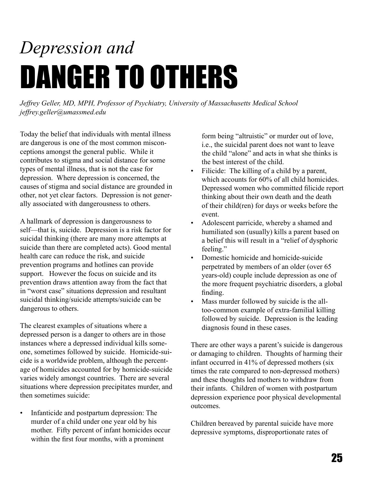## *Depression and*  DANGER TO OTHERS

*Jeffrey Geller, MD, MPH, Professor of Psychiatry, University of Massachusetts Medical School jeffrey.geller@umassmed.edu*

Today the belief that individuals with mental illness are dangerous is one of the most common misconceptions amongst the general public. While it contributes to stigma and social distance for some types of mental illness, that is not the case for depression. Where depression is concerned, the causes of stigma and social distance are grounded in other, not yet clear factors. Depression is not generally associated with dangerousness to others.

A hallmark of depression is dangerousness to self—that is, suicide. Depression is a risk factor for suicidal thinking (there are many more attempts at suicide than there are completed acts). Good mental health care can reduce the risk, and suicide prevention programs and hotlines can provide support. However the focus on suicide and its prevention draws attention away from the fact that in "worst case" situations depression and resultant suicidal thinking/suicide attempts/suicide can be dangerous to others.

The clearest examples of situations where a depressed person is a danger to others are in those instances where a depressed individual kills someone, sometimes followed by suicide. Homicide-suicide is a worldwide problem, although the percentage of homicides accounted for by homicide-suicide varies widely amongst countries. There are several situations where depression precipitates murder, and then sometimes suicide:

• Infanticide and postpartum depression: The murder of a child under one year old by his mother. Fifty percent of infant homicides occur within the first four months, with a prominent

form being "altruistic" or murder out of love, i.e., the suicidal parent does not want to leave the child "alone" and acts in what she thinks is the best interest of the child.

- Filicide: The killing of a child by a parent, which accounts for 60% of all child homicides. Depressed women who committed filicide report thinking about their own death and the death of their child(ren) for days or weeks before the event.
- Adolescent parricide, whereby a shamed and humiliated son (usually) kills a parent based on a belief this will result in a "relief of dysphoric feeling."
- Domestic homicide and homicide-suicide perpetrated by members of an older (over 65 years-old) couple include depression as one of the more frequent psychiatric disorders, a global finding.
- Mass murder followed by suicide is the alltoo-common example of extra-familial killing followed by suicide. Depression is the leading diagnosis found in these cases.

There are other ways a parent's suicide is dangerous or damaging to children. Thoughts of harming their infant occurred in 41% of depressed mothers (six times the rate compared to non-depressed mothers) and these thoughts led mothers to withdraw from their infants. Children of women with postpartum depression experience poor physical developmental outcomes.

Children bereaved by parental suicide have more depressive symptoms, disproportionate rates of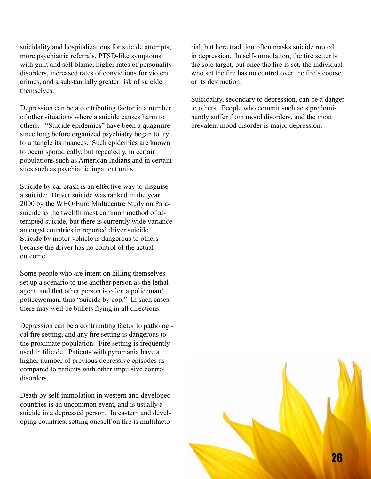suicidality and hospitalizations for suicide attempts; more psychiatric referrals, PTSD-like symptoms with guilt and self blame, higher rates of personality disorders, increased rates of convictions for violent crimes, and a substantially greater risk of suicide themselves.

Depression can be a contributing factor in a number of other situations where a suicide causes harm to others. "Suicide epidemics" have been a quagmire since long before organized psychiatry began to try to untangle its nuances. Such epidemics are known to occur sporadically, but repeatedly, in certain populations such as American Indians and in certain sites such as psychiatric inpatient units.

Suicide by car crash is an effective way to disguise a suicide: Driver suicide was ranked in the year 2000 by the WHO/Euro Multicentre Study on Parasuicide as the twelfth most common method of attempted suicide, but there is currently wide variance amongst countries in reported driver suicide. Suicide by motor vehicle is dangerous to others because the driver has no control of the actual outcome.

Some people who are intent on killing themselves set up a scenario to use another person as the lethal agent, and that other person is often a policeman/ policewoman, thus "suicide by cop." In such cases, there may well be bullets flying in all directions.

Depression can be a contributing factor to pathological fire setting, and any fire setting is dangerous to the proximate population. Fire setting is frequently used in filicide. Patients with pyromania have a higher number of previous depressive episodes as compared to patients with other impulsive control disorders.

Death by self-immolation in western and developed countries is an uncommon event, and is usually a suicide in a depressed person. In eastern and developing countries, setting oneself on fire is multifactorial, but here tradition often masks suicide rooted in depression. In self-immolation, the fire setter is the sole target, but once the fire is set, the individual who set the fire has no control over the fire's course or its destruction.

Suicidality, secondary to depression, can be a danger to others. People who commit such acts predominantly suffer from mood disorders, and the most prevalent mood disorder is major depression.

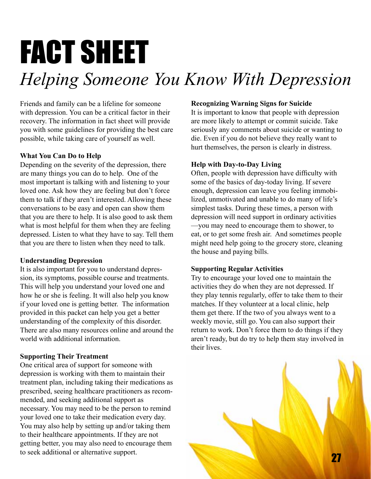# FACT SHEET

### *Helping Someone You Know With Depression*

Friends and family can be a lifeline for someone with depression. You can be a critical factor in their recovery. The information in fact sheet will provide you with some guidelines for providing the best care possible, while taking care of yourself as well.

#### **What You Can Do to Help**

Depending on the severity of the depression, there are many things you can do to help. One of the most important is talking with and listening to your loved one. Ask how they are feeling but don't force them to talk if they aren't interested. Allowing these conversations to be easy and open can show them that you are there to help. It is also good to ask them what is most helpful for them when they are feeling depressed. Listen to what they have to say. Tell them that you are there to listen when they need to talk.

#### **Understanding Depression**

It is also important for you to understand depression, its symptoms, possible course and treatments. This will help you understand your loved one and how he or she is feeling. It will also help you know if your loved one is getting better. The information provided in this packet can help you get a better understanding of the complexity of this disorder. There are also many resources online and around the world with additional information.

#### **Supporting Their Treatment**

One critical area of support for someone with depression is working with them to maintain their treatment plan, including taking their medications as prescribed, seeing healthcare practitioners as recommended, and seeking additional support as necessary. You may need to be the person to remind your loved one to take their medication every day. You may also help by setting up and/or taking them to their healthcare appointments. If they are not getting better, you may also need to encourage them to seek additional or alternative support.

#### **Recognizing Warning Signs for Suicide**

It is important to know that people with depression are more likely to attempt or commit suicide. Take seriously any comments about suicide or wanting to die. Even if you do not believe they really want to hurt themselves, the person is clearly in distress.

#### **Help with Day-to-Day Living**

Often, people with depression have difficulty with some of the basics of day-today living. If severe enough, depression can leave you feeling immobilized, unmotivated and unable to do many of life's simplest tasks. During these times, a person with depression will need support in ordinary activities —you may need to encourage them to shower, to eat, or to get some fresh air. And sometimes people might need help going to the grocery store, cleaning the house and paying bills.

#### **Supporting Regular Activities**

Try to encourage your loved one to maintain the activities they do when they are not depressed. If they play tennis regularly, offer to take them to their matches. If they volunteer at a local clinic, help them get there. If the two of you always went to a weekly movie, still go. You can also support their return to work. Don't force them to do things if they aren't ready, but do try to help them stay involved in their lives.

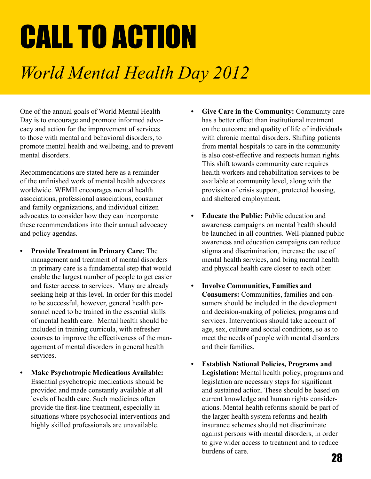# CALL TO ACTION

### *World Mental Health Day 2012*

One of the annual goals of World Mental Health Day is to encourage and promote informed advocacy and action for the improvement of services to those with mental and behavioral disorders, to promote mental health and wellbeing, and to prevent mental disorders.

Recommendations are stated here as a reminder of the unfinished work of mental health advocates worldwide. WFMH encourages mental health associations, professional associations, consumer and family organizations, and individual citizen advocates to consider how they can incorporate these recommendations into their annual advocacy and policy agendas.

- **• Provide Treatment in Primary Care:** The management and treatment of mental disorders in primary care is a fundamental step that would enable the largest number of people to get easier and faster access to services. Many are already seeking help at this level. In order for this model to be successful, however, general health personnel need to be trained in the essential skills of mental health care. Mental health should be included in training curricula, with refresher courses to improve the effectiveness of the management of mental disorders in general health services.
- **Make Psychotropic Medications Available:** Essential psychotropic medications should be provided and made constantly available at all levels of health care. Such medicines often provide the first-line treatment, especially in situations where psychosocial interventions and highly skilled professionals are unavailable.
- **• Give Care in the Community:** Community care has a better effect than institutional treatment on the outcome and quality of life of individuals with chronic mental disorders. Shifting patients from mental hospitals to care in the community is also cost-effective and respects human rights. This shift towards community care requires health workers and rehabilitation services to be available at community level, along with the provision of crisis support, protected housing, and sheltered employment.
- **Educate the Public:** Public education and awareness campaigns on mental health should be launched in all countries. Well-planned public awareness and education campaigns can reduce stigma and discrimination, increase the use of mental health services, and bring mental health and physical health care closer to each other.
- **• Involve Communities, Families and Consumers:** Communities, families and consumers should be included in the development and decision-making of policies, programs and services. Interventions should take account of age, sex, culture and social conditions, so as to meet the needs of people with mental disorders and their families.
- **• Establish National Policies, Programs and Legislation:** Mental health policy, programs and legislation are necessary steps for significant and sustained action. These should be based on current knowledge and human rights considerations. Mental health reforms should be part of the larger health system reforms and health insurance schemes should not discriminate against persons with mental disorders, in order to give wider access to treatment and to reduce burdens of care.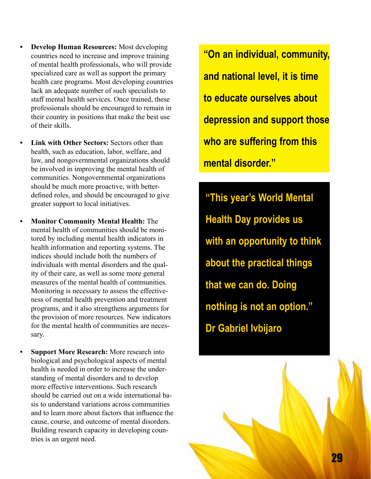- **Develop Human Resources:** Most developing countries need to increase and improve training of mental health professionals, who will provide specialized care as well as support the primary health care programs. Most developing countries lack an adequate number of such specialists to staff mental health services. Once trained, these professionals should be encouraged to remain in their country in positions that make the best use of their skills.
- **Link with Other Sectors: Sectors other than** health, such as education, labor, welfare, and law, and nongovernmental organizations should be involved in improving the mental health of communities. Nongovernmental organizations should be much more proactive, with betterdefined roles, and should be encouraged to give greater support to local initiatives.
- **• Monitor Community Mental Health:** The mental health of communities should be monitored by including mental health indicators in health information and reporting systems. The indices should include both the numbers of individuals with mental disorders and the quality of their care, as well as some more general measures of the mental health of communities. Monitoring is necessary to assess the effectiveness of mental health prevention and treatment programs, and it also strengthens arguments for the provision of more resources. New indicators for the mental health of communities are necessary.
- **Support More Research:** More research into biological and psychological aspects of mental health is needed in order to increase the understanding of mental disorders and to develop more effective interventions. Such research should be carried out on a wide international basis to understand variations across communities and to learn more about factors that influence the cause, course, and outcome of mental disorders. Building research capacity in developing countries is an urgent need.

**"On an individual, community, and national level, it is time to educate ourselves about depression and support those who are suffering from this mental disorder."** 

**"This year's World Mental Health Day provides us with an opportunity to think about the practical things that we can do. Doing nothing is not an option." Dr Gabriel Ivbijaro**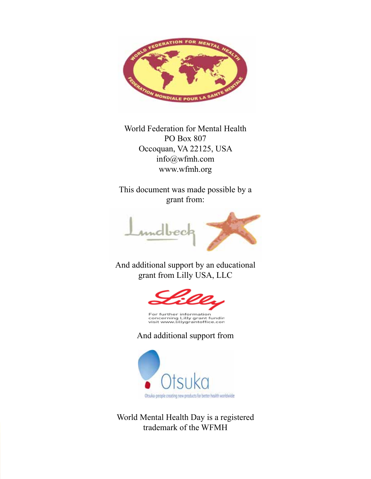

World Federation for Mental Health PO Box 807 Occoquan, VA 22125, USA info@wfmh.com www.wfmh.org

This document was made possible by a grant from:



And additional support by an educational grant from Lilly USA, LLC



For further information<br>concerning Lilly grant fundin<br>visit www.lillygrantoffice.con

And additional support from



World Mental Health Day is a registered trademark of the WFMH